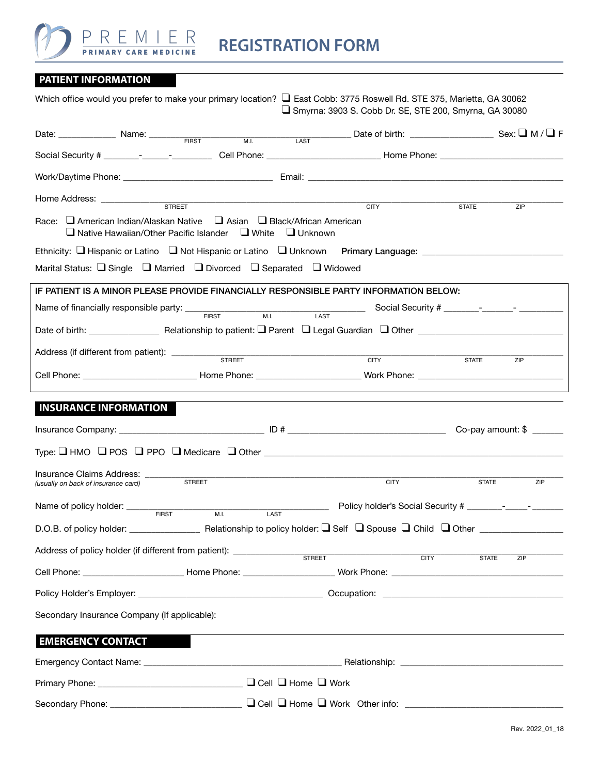

| <b>PATIENT INFORMATION</b> |  |  |  |  |  |  |
|----------------------------|--|--|--|--|--|--|

| Which office would you prefer to make your primary location? □ East Cobb: 3775 Roswell Rd. STE 375, Marietta, GA 30062                               |      | Smyrna: 3903 S. Cobb Dr. SE, STE 200, Smyrna, GA 30080                             |                     |     |
|------------------------------------------------------------------------------------------------------------------------------------------------------|------|------------------------------------------------------------------------------------|---------------------|-----|
| Date: Name: $\frac{1}{\text{FIRST}}$ M.I. LAST Date of birth: Sex: $\Box$ M/ $\Box$ F                                                                |      |                                                                                    |                     |     |
|                                                                                                                                                      |      |                                                                                    |                     |     |
|                                                                                                                                                      |      |                                                                                    |                     |     |
|                                                                                                                                                      |      | <b>CITY</b>                                                                        | <b>STATE</b><br>ZIP |     |
| Race: a American Indian/Alaskan Native a Asian a Black/African American<br>$\Box$ Native Hawaiian/Other Pacific Islander $\Box$ White $\Box$ Unknown |      |                                                                                    |                     |     |
| Ethnicity: □ Hispanic or Latino □ Not Hispanic or Latino □ Unknown Primary Language: ______________                                                  |      |                                                                                    |                     |     |
| Marital Status: Single J Married J Divorced J Separated J Widowed                                                                                    |      |                                                                                    |                     |     |
| IF PATIENT IS A MINOR PLEASE PROVIDE FINANCIALLY RESPONSIBLE PARTY INFORMATION BELOW:                                                                |      |                                                                                    |                     |     |
|                                                                                                                                                      |      |                                                                                    |                     |     |
|                                                                                                                                                      |      |                                                                                    |                     |     |
|                                                                                                                                                      |      | <b>CITY</b>                                                                        |                     |     |
|                                                                                                                                                      |      |                                                                                    | <b>STATE</b><br>ZIP |     |
| <b>INSURANCE INFORMATION</b>                                                                                                                         |      |                                                                                    |                     |     |
|                                                                                                                                                      |      |                                                                                    |                     |     |
| Insurance Claims Address: _____<br><b>STREET</b><br>(usually on back of insurance card)                                                              |      | <b>CITY</b>                                                                        | <b>STATE</b>        | ZIP |
| Name of policy holder: _____<br><b>FIRST</b><br>M.I.                                                                                                 | LAST |                                                                                    |                     |     |
| D.O.B. of policy holder:                                                                                                                             |      | Relationship to policy holder: $\Box$ Self $\Box$ Spouse $\Box$ Child $\Box$ Other |                     |     |
| Address of policy holder (if different from patient): STREET                                                                                         |      | CITY                                                                               | <b>STATE</b><br>ZIP |     |
|                                                                                                                                                      |      |                                                                                    |                     |     |
|                                                                                                                                                      |      |                                                                                    |                     |     |
| Secondary Insurance Company (If applicable):                                                                                                         |      |                                                                                    |                     |     |
| <b>EMERGENCY CONTACT</b>                                                                                                                             |      |                                                                                    |                     |     |
|                                                                                                                                                      |      |                                                                                    |                     |     |
| Primary Phone: _____________________________ □ Cell □ Home □ Work                                                                                    |      |                                                                                    |                     |     |
|                                                                                                                                                      |      |                                                                                    |                     |     |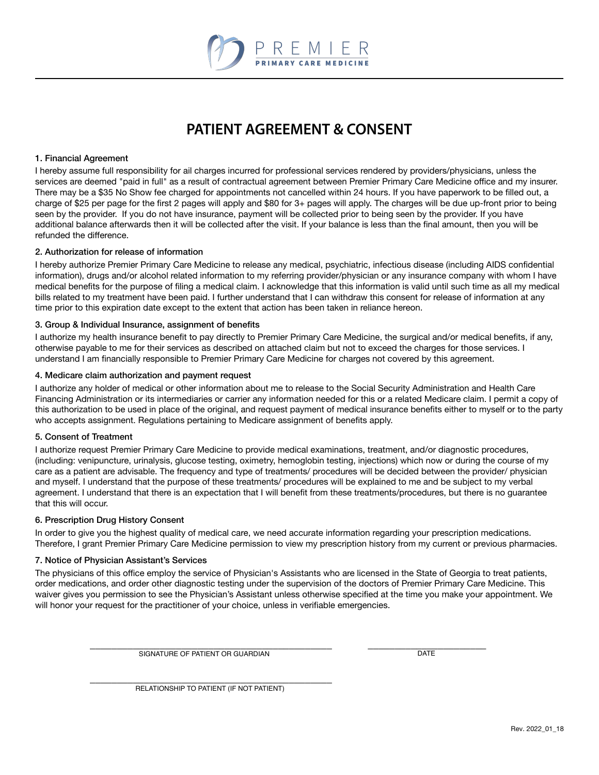

## **PATIENT AGREEMENT & CONSENT**

#### 1. Financial Agreement

I hereby assume full responsibility for ail charges incurred for professional services rendered by providers/physicians, unless the services are deemed "paid in full" as a result of contractual agreement between Premier Primary Care Medicine office and my insurer. There may be a \$35 No Show fee charged for appointments not cancelled within 24 hours. If you have paperwork to be filled out, a charge of \$25 per page for the first 2 pages will apply and \$80 for 3+ pages will apply. The charges will be due up-front prior to being seen by the provider. If you do not have insurance, payment will be collected prior to being seen by the provider. If you have additional balance afterwards then it will be collected after the visit. If your balance is less than the final amount, then you will be refunded the difference.

#### 2. Authorization for release of information

I hereby authorize Premier Primary Care Medicine to release any medical, psychiatric, infectious disease (including AIDS confidential information), drugs and/or alcohol related information to my referring provider/physician or any insurance company with whom I have medical benefits for the purpose of filing a medical claim. I acknowledge that this information is valid until such time as all my medical bills related to my treatment have been paid. I further understand that I can withdraw this consent for release of information at any time prior to this expiration date except to the extent that action has been taken in reliance hereon.

#### 3. Group & Individual Insurance, assignment of benefits

I authorize my health insurance benefit to pay directly to Premier Primary Care Medicine, the surgical and/or medical benefits, if any, otherwise payable to me for their services as described on attached claim but not to exceed the charges for those services. I understand I am financially responsible to Premier Primary Care Medicine for charges not covered by this agreement.

#### 4. Medicare claim authorization and payment request

I authorize any holder of medical or other information about me to release to the Social Security Administration and Health Care Financing Administration or its intermediaries or carrier any information needed for this or a related Medicare claim. I permit a copy of this authorization to be used in place of the original, and request payment of medical insurance benefits either to myself or to the party who accepts assignment. Regulations pertaining to Medicare assignment of benefits apply.

#### 5. Consent of Treatment

I authorize request Premier Primary Care Medicine to provide medical examinations, treatment, and/or diagnostic procedures, (including: venipuncture, urinalysis, glucose testing, oximetry, hemoglobin testing, injections) which now or during the course of my care as a patient are advisable. The frequency and type of treatments/ procedures will be decided between the provider/ physician and myself. I understand that the purpose of these treatments/ procedures will be explained to me and be subject to my verbal agreement. I understand that there is an expectation that I will benefit from these treatments/procedures, but there is no guarantee that this will occur.

#### 6. Prescription Drug History Consent

In order to give you the highest quality of medical care, we need accurate information regarding your prescription medications. Therefore, I grant Premier Primary Care Medicine permission to view my prescription history from my current or previous pharmacies.

#### 7. Notice of Physician Assistant's Services

The physicians of this office employ the service of Physician's Assistants who are licensed in the State of Georgia to treat patients, order medications, and order other diagnostic testing under the supervision of the doctors of Premier Primary Care Medicine. This waiver gives you permission to see the Physician's Assistant unless otherwise specified at the time you make your appointment. We will honor your request for the practitioner of your choice, unless in verifiable emergencies.

 $\overline{\phantom{a}}$  ,  $\overline{\phantom{a}}$  ,  $\overline{\phantom{a}}$  ,  $\overline{\phantom{a}}$  ,  $\overline{\phantom{a}}$  ,  $\overline{\phantom{a}}$  ,  $\overline{\phantom{a}}$  ,  $\overline{\phantom{a}}$  ,  $\overline{\phantom{a}}$  ,  $\overline{\phantom{a}}$  ,  $\overline{\phantom{a}}$  ,  $\overline{\phantom{a}}$  ,  $\overline{\phantom{a}}$  ,  $\overline{\phantom{a}}$  ,  $\overline{\phantom{a}}$  ,  $\overline{\phantom{a}}$ SIGNATURE OF PATIENT OR GUARDIAN DATE

 $\frac{1}{\sqrt{2}}$  ,  $\frac{1}{\sqrt{2}}$  ,  $\frac{1}{\sqrt{2}}$  ,  $\frac{1}{\sqrt{2}}$  ,  $\frac{1}{\sqrt{2}}$  ,  $\frac{1}{\sqrt{2}}$  ,  $\frac{1}{\sqrt{2}}$  ,  $\frac{1}{\sqrt{2}}$  ,  $\frac{1}{\sqrt{2}}$  ,  $\frac{1}{\sqrt{2}}$  ,  $\frac{1}{\sqrt{2}}$  ,  $\frac{1}{\sqrt{2}}$  ,  $\frac{1}{\sqrt{2}}$  ,  $\frac{1}{\sqrt{2}}$  ,  $\frac{1}{\sqrt{2}}$ RELATIONSHIP TO PATIENT (IF NOT PATIENT)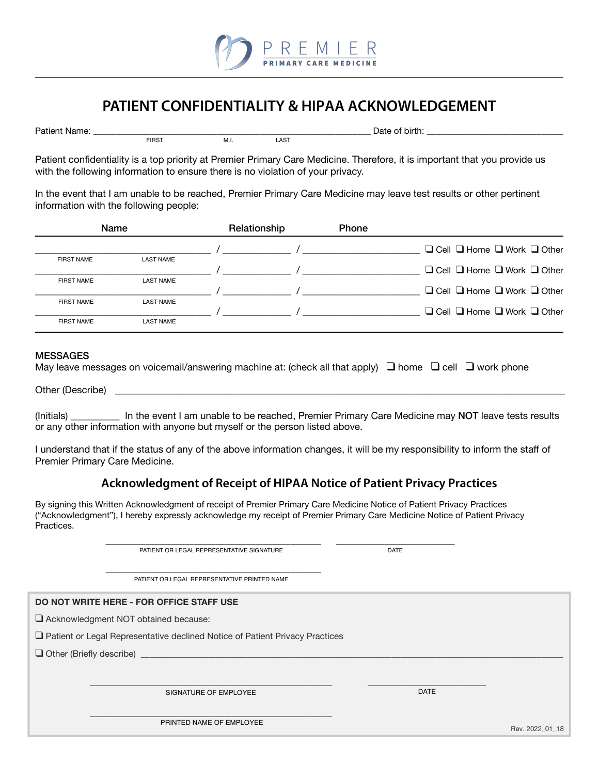

## **PATIENT CONFIDENTIALITY & HIPAA ACKNOWLEDGEMENT**

| Pati |                   |           |              | .<br>. |  |
|------|-------------------|-----------|--------------|--------|--|
|      | FIRS <sup>-</sup> | - IVI. I. | $\sim$<br>⊷∽ |        |  |

Patient confidentiality is a top priority at Premier Primary Care Medicine. Therefore, it is important that you provide us with the following information to ensure there is no violation of your privacy.

In the event that I am unable to be reached, Premier Primary Care Medicine may leave test results or other pertinent information with the following people:

| <b>Name</b>       |                  | Relationship | <b>Phone</b> |                                                  |
|-------------------|------------------|--------------|--------------|--------------------------------------------------|
|                   |                  |              |              | $\Box$ Cell $\Box$ Home $\Box$ Work $\Box$ Other |
| <b>FIRST NAME</b> | <b>LAST NAME</b> |              |              |                                                  |
|                   |                  |              |              | $\Box$ Cell $\Box$ Home $\Box$ Work $\Box$ Other |
| <b>FIRST NAME</b> | <b>LAST NAME</b> |              |              |                                                  |
|                   |                  |              |              | $\Box$ Cell $\Box$ Home $\Box$ Work $\Box$ Other |
| <b>FIRST NAME</b> | <b>LAST NAME</b> |              |              |                                                  |
|                   |                  |              |              | $\Box$ Cell $\Box$ Home $\Box$ Work $\Box$ Other |
| <b>FIRST NAME</b> | <b>LAST NAME</b> |              |              |                                                  |
|                   |                  |              |              |                                                  |

#### **MESSAGES**

|  | May leave messages on voicemail/answering machine at: (check all that apply) $\Box$ home $\Box$ cell $\Box$ work phone |  |  |  |
|--|------------------------------------------------------------------------------------------------------------------------|--|--|--|
|--|------------------------------------------------------------------------------------------------------------------------|--|--|--|

Other (Describe)

(Initials) In the event I am unable to be reached, Premier Primary Care Medicine may NOT leave tests results or any other information with anyone but myself or the person listed above.

I understand that if the status of any of the above information changes, it will be my responsibility to inform the staff of Premier Primary Care Medicine.

### **Acknowledgment of Receipt of HIPAA Notice of Patient Privacy Practices**

By signing this Written Acknowledgment of receipt of Premier Primary Care Medicine Notice of Patient Privacy Practices ("Acknowledgment"), I hereby expressly acknowledge my receipt of Premier Primary Care Medicine Notice of Patient Privacy Practices.

 $\frac{1}{2}$  ,  $\frac{1}{2}$  ,  $\frac{1}{2}$  ,  $\frac{1}{2}$  ,  $\frac{1}{2}$  ,  $\frac{1}{2}$  ,  $\frac{1}{2}$  ,  $\frac{1}{2}$  ,  $\frac{1}{2}$  ,  $\frac{1}{2}$  ,  $\frac{1}{2}$  ,  $\frac{1}{2}$  ,  $\frac{1}{2}$  ,  $\frac{1}{2}$  ,  $\frac{1}{2}$  ,  $\frac{1}{2}$  ,  $\frac{1}{2}$  ,  $\frac{1}{2}$  ,  $\frac{1$ 

\_\_\_\_\_\_\_\_\_\_\_\_\_\_\_\_\_\_\_\_\_\_\_\_\_\_\_\_\_\_\_\_\_\_\_\_\_\_\_\_\_\_\_\_\_\_\_\_\_ \_\_\_\_\_\_\_\_\_\_\_\_\_\_\_\_\_\_\_\_\_\_\_\_\_\_\_ PATIENT OR LEGAL REPRESENTATIVE SIGNATURE **Example 20 SIGNATURE** 

\_\_\_\_\_\_\_\_\_\_\_\_\_\_\_\_\_\_\_\_\_\_\_\_\_\_\_\_\_\_\_\_\_\_\_\_\_\_\_\_\_\_\_\_\_\_\_\_\_ PATIENT OR LEGAL REPRESENTATIVE PRINTED NAME

### **DO NOT WRITE HERE - FOR OFFICE STAFF USE**

Acknowledgment NOT obtained because:

 $\Box$  Patient or Legal Representative declined Notice of Patient Privacy Practices

 $\Box$  Other (Briefly describe)

SIGNATURE OF EMPLOYEE DATE AND RESIDENCE OF A SAFE OF SAFE OF A SAFE OF A SAFE OF A SAFE OF A SAFE OF A SAFE O

 $\frac{1}{2}$  ,  $\frac{1}{2}$  ,  $\frac{1}{2}$  ,  $\frac{1}{2}$  ,  $\frac{1}{2}$  ,  $\frac{1}{2}$  ,  $\frac{1}{2}$  ,  $\frac{1}{2}$  ,  $\frac{1}{2}$  ,  $\frac{1}{2}$  ,  $\frac{1}{2}$  ,  $\frac{1}{2}$  ,  $\frac{1}{2}$  ,  $\frac{1}{2}$  ,  $\frac{1}{2}$  ,  $\frac{1}{2}$  ,  $\frac{1}{2}$  ,  $\frac{1}{2}$  ,  $\frac{1$ PRINTED NAME OF EMPLOYEE

Rev. 2022\_01\_18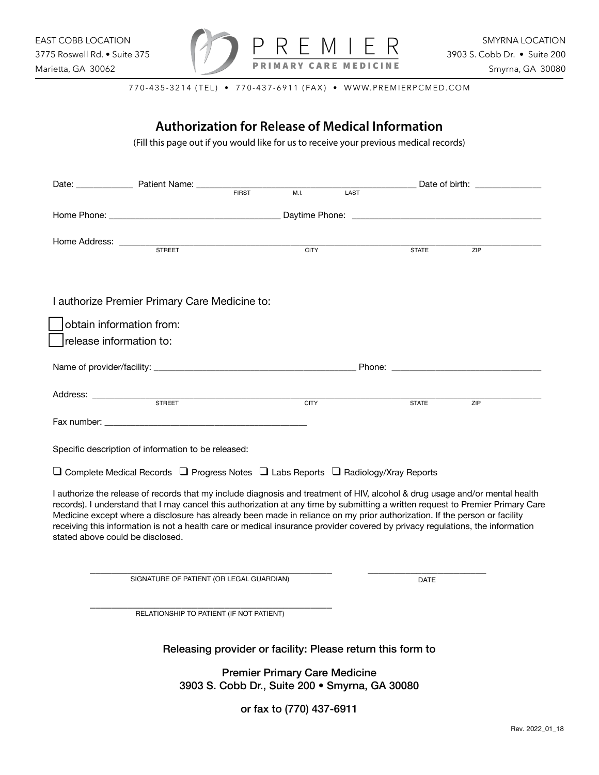

770-435-3214 (TEL) • 770-437-6911 (FAX) • WWW.PREMIERPCMED.COM

# **Authorization for Release of Medical Information**  (Fill this page out if you would like for us to receive your previous medical records) Date: \_\_\_\_\_\_\_\_\_\_\_\_\_ Patient Name: \_\_\_\_\_\_\_\_\_\_\_\_\_\_\_\_\_\_\_\_\_\_\_\_\_\_\_\_\_\_\_\_\_\_\_\_\_\_\_\_\_\_\_\_\_\_\_\_\_\_ Date of birth: \_\_\_\_\_\_\_\_\_\_\_\_\_\_\_ Home Phone: \_\_\_\_\_\_\_\_\_\_\_\_\_\_\_\_\_\_\_\_\_\_\_\_\_\_\_\_\_\_\_\_\_\_\_\_\_\_\_ Daytime Phone: \_\_\_\_\_\_\_\_\_\_\_\_\_\_\_\_\_\_\_\_\_\_\_\_\_\_\_\_\_\_\_\_\_\_\_\_\_\_\_\_\_\_\_ Home Address: \_\_\_\_\_\_\_\_\_\_\_\_\_\_\_\_\_\_\_\_\_\_\_\_\_\_\_\_\_\_\_\_\_\_\_\_\_\_\_\_\_\_\_\_\_\_\_\_\_\_\_\_\_\_\_\_\_\_\_\_\_\_\_\_\_\_\_\_\_\_\_\_\_\_\_\_\_\_\_\_\_\_\_\_\_\_\_\_\_\_\_\_\_\_\_\_ I authorize Premier Primary Care Medicine to: obtain information from: release information to: Name of provider/facility: \_\_\_\_\_\_\_\_\_\_\_\_\_\_\_\_\_\_\_\_\_\_\_\_\_\_\_\_\_\_\_\_\_\_\_\_\_\_\_\_\_\_\_\_\_\_ Phone: \_\_\_\_\_\_\_\_\_\_\_\_\_\_\_\_\_\_\_\_\_\_\_\_\_\_\_\_\_\_\_\_\_\_ Address: \_\_\_\_\_\_\_\_\_\_\_\_\_\_\_\_\_\_\_\_\_\_\_\_\_\_\_\_\_\_\_\_\_\_\_\_\_\_\_\_\_\_\_\_\_\_\_\_\_\_\_\_\_\_\_\_\_\_\_\_\_\_\_\_\_\_\_\_\_\_\_\_\_\_\_\_\_\_\_\_\_\_\_\_\_\_\_\_\_\_\_\_\_\_\_\_\_\_\_\_\_\_ Fax number: Specific description of information to be released:  $\Box$  Complete Medical Records  $\Box$  Progress Notes  $\Box$  Labs Reports  $\Box$  Radiology/Xray Reports I authorize the release of records that my include diagnosis and treatment of HIV, alcohol & drug usage and/or mental health records). I understand that I may cancel this authorization at any time by submitting a written request to Premier Primary Care Medicine except where a disclosure has already been made in reliance on my prior authorization. If the person or facility receiving this information is not a health care or medical insurance provider covered by privacy regulations, the information stated above could be disclosed.  $\overline{\phantom{a}}$  , and the contribution of the contribution of the contribution of the contribution of the contribution of the contribution of the contribution of the contribution of the contribution of the contribution of the  $\overline{\phantom{a}}$  , and the contract of the contract of the contract of the contract of the contract of the contract of the contract of the contract of the contract of the contract of the contract of the contract of the contrac Releasing provider or facility: Please return this form to Premier Primary Care Medicine 3903 S. Cobb Dr., Suite 200 • Smyrna, GA 30080 **FIRST** STREET CITY STATE ZIP STREET CITY STATE ZIP SIGNATURE OF PATIENT (OR LEGAL GUARDIAN) DATE RELATIONSHIP TO PATIENT (IF NOT PATIENT)

or fax to (770) 437-6911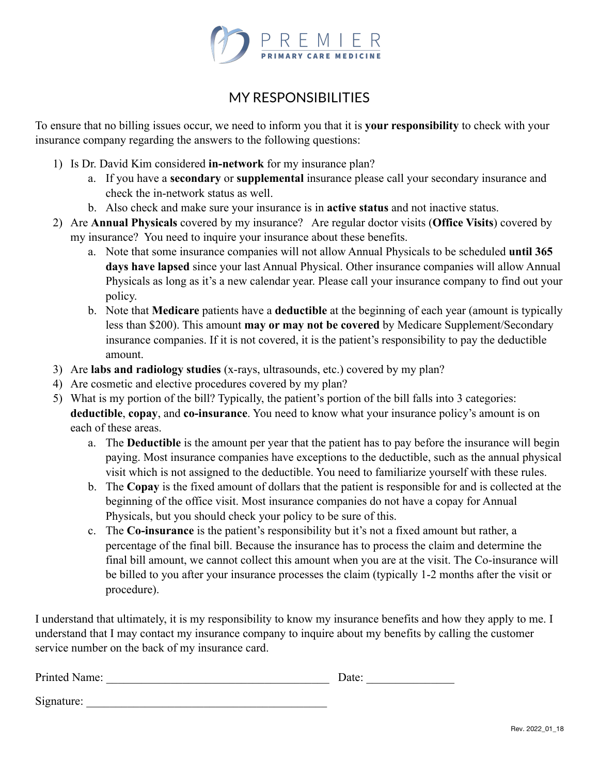

## MY RESPONSIBILITIES

To ensure that no billing issues occur, we need to inform you that it is **your responsibility** to check with your insurance company regarding the answers to the following questions:

- 1) Is Dr. David Kim considered **in-network** for my insurance plan?
	- a. If you have a **secondary** or **supplemental** insurance please call your secondary insurance and check the in-network status as well.
	- b. Also check and make sure your insurance is in **active status** and not inactive status.
- 2) Are **Annual Physicals** covered by my insurance? Are regular doctor visits (**Office Visits**) covered by my insurance? You need to inquire your insurance about these benefits.
	- a. Note that some insurance companies will not allow Annual Physicals to be scheduled **until 365 days have lapsed** since your last Annual Physical. Other insurance companies will allow Annual Physicals as long as it's a new calendar year. Please call your insurance company to find out your policy.
	- b. Note that **Medicare** patients have a **deductible** at the beginning of each year (amount is typically less than \$200). This amount **may or may not be covered** by Medicare Supplement/Secondary insurance companies. If it is not covered, it is the patient's responsibility to pay the deductible amount.
- 3) Are **labs and radiology studies** (x-rays, ultrasounds, etc.) covered by my plan?
- 4) Are cosmetic and elective procedures covered by my plan?
- 5) What is my portion of the bill? Typically, the patient's portion of the bill falls into 3 categories: **deductible**, **copay**, and **co-insurance**. You need to know what your insurance policy's amount is on each of these areas.
	- a. The **Deductible** is the amount per year that the patient has to pay before the insurance will begin paying. Most insurance companies have exceptions to the deductible, such as the annual physical visit which is not assigned to the deductible. You need to familiarize yourself with these rules.
	- b. The **Copay** is the fixed amount of dollars that the patient is responsible for and is collected at the beginning of the office visit. Most insurance companies do not have a copay for Annual Physicals, but you should check your policy to be sure of this.
	- c. The **Co-insurance** is the patient's responsibility but it's not a fixed amount but rather, a percentage of the final bill. Because the insurance has to process the claim and determine the final bill amount, we cannot collect this amount when you are at the visit. The Co-insurance will be billed to you after your insurance processes the claim (typically 1-2 months after the visit or procedure).

I understand that ultimately, it is my responsibility to know my insurance benefits and how they apply to me. I understand that I may contact my insurance company to inquire about my benefits by calling the customer service number on the back of my insurance card.

| Printed Name: | Date: |
|---------------|-------|
| Signature:    |       |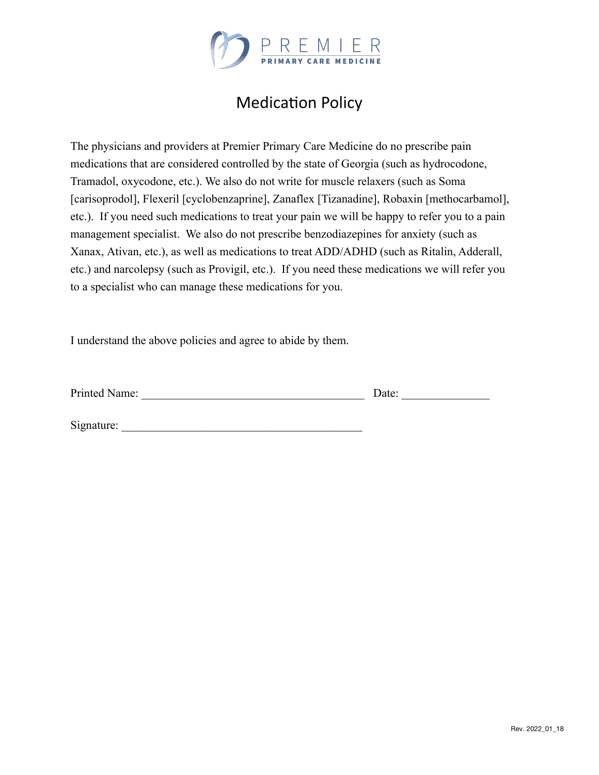

# **Medication Policy**

The physicians and providers at Premier Primary Care Medicine do no prescribe pain medications that are considered controlled by the state of Georgia (such as hydrocodone, Tramadol, oxycodone, etc.). We also do not write for muscle relaxers (such as Soma [carisoprodol], Flexeril [cyclobenzaprine], Zanaflex [Tizanadine], Robaxin [methocarbamol], etc.). If you need such medications to treat your pain we will be happy to refer you to a pain management specialist. We also do not prescribe benzodiazepines for anxiety (such as Xanax, Ativan, etc.), as well as medications to treat ADD/ADHD (such as Ritalin, Adderall, etc.) and narcolepsy (such as Provigil, etc.). If you need these medications we will refer you to a specialist who can manage these medications for you.

I understand the above policies and agree to abide by them.

Printed Name: \_\_\_\_\_\_\_\_\_\_\_\_\_\_\_\_\_\_\_\_\_\_\_\_\_\_\_\_\_\_\_\_\_\_\_\_\_\_ Date: \_\_\_\_\_\_\_\_\_\_\_\_\_\_\_

Signature: \_\_\_\_\_\_\_\_\_\_\_\_\_\_\_\_\_\_\_\_\_\_\_\_\_\_\_\_\_\_\_\_\_\_\_\_\_\_\_\_\_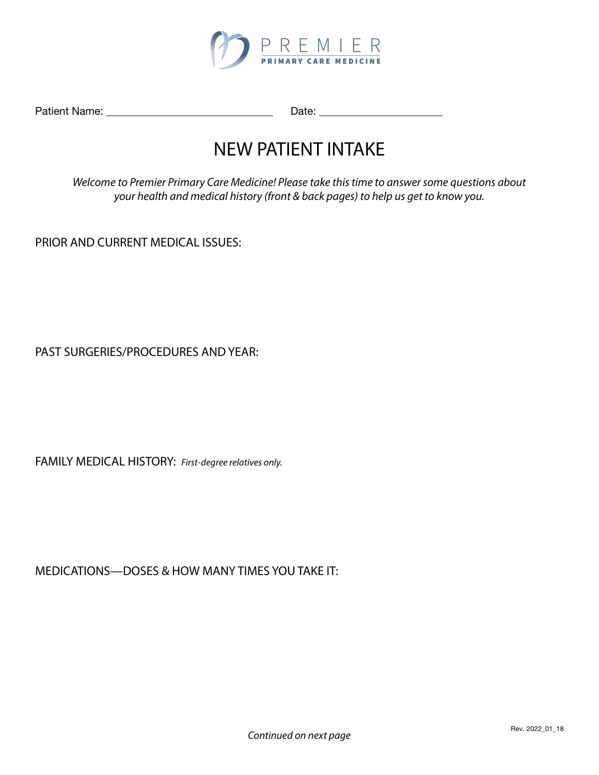

Patient Name: \_\_\_\_\_\_\_\_\_\_\_\_\_\_\_\_\_\_\_\_\_\_\_\_\_\_\_\_\_\_\_ Date: \_\_\_\_\_\_\_\_\_\_\_\_\_\_\_\_\_\_\_\_\_\_\_

# NEW PATIENT INTAKE

*Welcome to Premier Primary Care Medicine! Please take this time to answer some questions about your health and medical history (front & back pages) to help us get to know you.* 

PRIOR AND CURRENT MEDICAL ISSUES:

PAST SURGERIES/PROCEDURES AND YEAR:

FAMILY MEDICAL HISTORY: *First-degree relatives only.*

MEDICATIONS—DOSES & HOW MANY TIMES YOU TAKE IT: